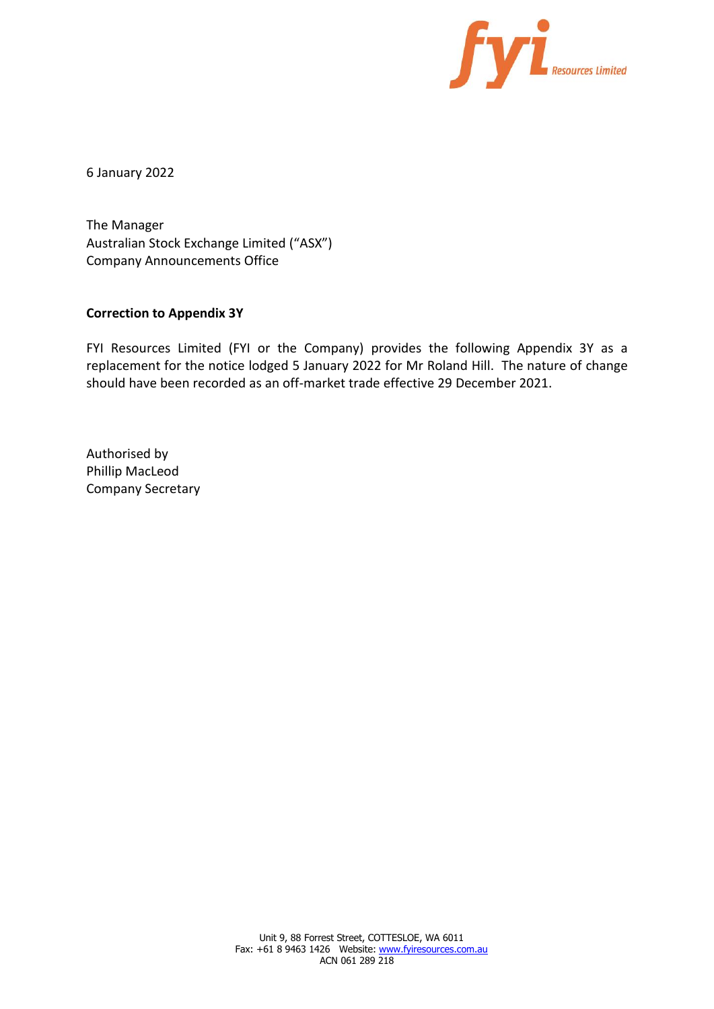

6 January 2022

The Manager Australian Stock Exchange Limited ("ASX") Company Announcements Office

#### **Correction to Appendix 3Y**

FYI Resources Limited (FYI or the Company) provides the following Appendix 3Y as a replacement for the notice lodged 5 January 2022 for Mr Roland Hill. The nature of change should have been recorded as an off-market trade effective 29 December 2021.

Authorised by Phillip MacLeod Company Secretary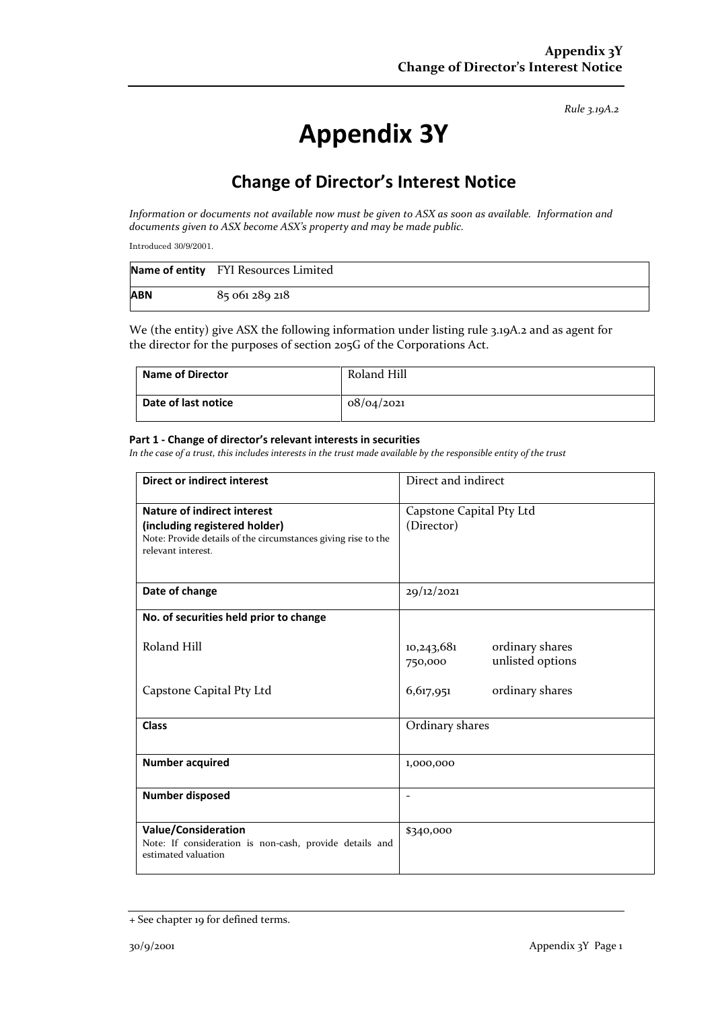*Rule 3.19A.2*

# **Appendix 3Y**

# **Change of Director's Interest Notice**

*Information or documents not available now must be given to ASX as soon as available. Information and documents given to ASX become ASX's property and may be made public.*

Introduced 30/9/2001.

|            | Name of entity FYI Resources Limited |
|------------|--------------------------------------|
| <b>ABN</b> | 85 061 289 218                       |

We (the entity) give ASX the following information under listing rule 3.19A.2 and as agent for the director for the purposes of section 205G of the Corporations Act.

| <b>Name of Director</b> | Roland Hill |
|-------------------------|-------------|
| Date of last notice     | 08/04/2021  |

#### **Part 1 - Change of director's relevant interests in securities**

*In the case of a trust, this includes interests in the trust made available by the responsible entity of the trust*

| <b>Direct or indirect interest</b>                                                                                                                         | Direct and indirect                                          |  |
|------------------------------------------------------------------------------------------------------------------------------------------------------------|--------------------------------------------------------------|--|
| <b>Nature of indirect interest</b><br>(including registered holder)<br>Note: Provide details of the circumstances giving rise to the<br>relevant interest. | Capstone Capital Pty Ltd<br>(Director)                       |  |
| Date of change                                                                                                                                             | 29/12/2021                                                   |  |
| No. of securities held prior to change                                                                                                                     |                                                              |  |
| Roland Hill                                                                                                                                                | ordinary shares<br>10,243,681<br>unlisted options<br>750,000 |  |
| Capstone Capital Pty Ltd                                                                                                                                   | ordinary shares<br>6,617,951                                 |  |
| <b>Class</b>                                                                                                                                               | Ordinary shares                                              |  |
| <b>Number acquired</b>                                                                                                                                     | 1,000,000                                                    |  |
| Number disposed                                                                                                                                            | $\overline{\phantom{a}}$                                     |  |
| <b>Value/Consideration</b><br>Note: If consideration is non-cash, provide details and<br>estimated valuation                                               | \$340,000                                                    |  |

<sup>+</sup> See chapter 19 for defined terms.